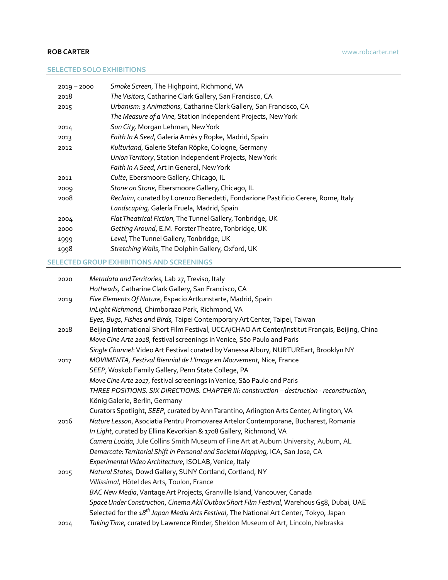# **SELECTED SOLO EXHIBITIONS**

| $2019 - 2000$ | Smoke Screen, The Highpoint, Richmond, VA                                        |
|---------------|----------------------------------------------------------------------------------|
| 2018          | <i>The Visitors, Catharine Clark Gallery, San Francisco, CA</i>                  |
| 2015          | Urbanism: 3 Animations, Catharine Clark Gallery, San Francisco, CA               |
|               | The Measure of a Vine, Station Independent Projects, New York                    |
| 2014          | Sun City, Morgan Lehman, New York                                                |
| 2013          | Faith In A Seed, Galeria Arnés y Ropke, Madrid, Spain                            |
| 2012          | Kulturland, Galerie Stefan Röpke, Cologne, Germany                               |
|               | Union Territory, Station Independent Projects, New York                          |
|               | Faith In A Seed, Art in General, New York                                        |
| 2011          | Culte, Ebersmoore Gallery, Chicago, IL                                           |
| 2009          | Stone on Stone, Ebersmoore Gallery, Chicago, IL                                  |
| 2008          | Reclaim, curated by Lorenzo Benedetti, Fondazione Pastificio Cerere, Rome, Italy |
|               | Landscaping, Galería Fruela, Madrid, Spain                                       |
| 2004          | <i>Flat Theatrical Fiction</i> , The Tunnel Gallery, Tonbridge, UK               |
| 2000          | Getting Around, E.M. Forster Theatre, Tonbridge, UK                              |
| 1999          | Level, The Tunnel Gallery, Tonbridge, UK                                         |
| 1998          | Stretching Walls, The Dolphin Gallery, Oxford, UK                                |

# **SELECTEDGROUP EXHIBITIONSANDSCREENINGS**

| 2020 | Metadata and Territories, Lab 27, Treviso, Italy                                                   |
|------|----------------------------------------------------------------------------------------------------|
|      | Hotheads, Catharine Clark Gallery, San Francisco, CA                                               |
| 2019 | Five Elements Of Nature, Espacio Artkunstarte, Madrid, Spain                                       |
|      | InLight Richmond, Chimborazo Park, Richmond, VA                                                    |
|      | Eyes, Bugs, Fishes and Birds, Taipei Contemporary Art Center, Taipei, Taiwan                       |
| 2018 | Beijing International Short Film Festival, UCCA/CHAO Art Center/Institut Français, Beijing, China  |
|      | Move Cine Arte 2018, festival screenings in Venice, São Paulo and Paris                            |
|      | Single Channel: Video Art Festival curated by Vanessa Albury, NURTUREart, Brooklyn NY              |
| 2017 | MOVIMENTA, Festival Biennial de L'Image en Mouvement, Nice, France                                 |
|      | SEEP, Woskob Family Gallery, Penn State College, PA                                                |
|      | Move Cine Arte 2017, festival screenings in Venice, São Paulo and Paris                            |
|      | THREE POSITIONS. SIX DIRECTIONS. CHAPTER III: construction - destruction - reconstruction,         |
|      | König Galerie, Berlin, Germany                                                                     |
|      | Curators Spotlight, SEEP, curated by Ann Tarantino, Arlington Arts Center, Arlington, VA           |
| 2016 | Nature Lesson, Asociatia Pentru Promovarea Artelor Contemporane, Bucharest, Romania                |
|      | In Light, curated by Ellina Kevorkian & 1708 Gallery, Richmond, VA                                 |
|      | Camera Lucida, Jule Collins Smith Museum of Fine Art at Auburn University, Auburn, AL              |
|      | Demarcate: Territorial Shift in Personal and Societal Mapping, ICA, San Jose, CA                   |
|      | Experimental Video Architecture, ISOLAB, Venice, Italy                                             |
| 2015 | Natural States, Dowd Gallery, SUNY Cortland, Cortland, NY                                          |
|      | Villissima!, Hôtel des Arts, Toulon, France                                                        |
|      | BAC New Media, Vantage Art Projects, Granville Island, Vancouver, Canada                           |
|      | Space Under Construction, Cinema Akil Outbox Short Film Festival, Warehous G58, Dubai, UAE         |
|      | Selected for the 18 <sup>th</sup> Japan Media Arts Festival, The National Art Center, Tokyo, Japan |
| 2014 | Taking Time, curated by Lawrence Rinder, Sheldon Museum of Art, Lincoln, Nebraska                  |
|      |                                                                                                    |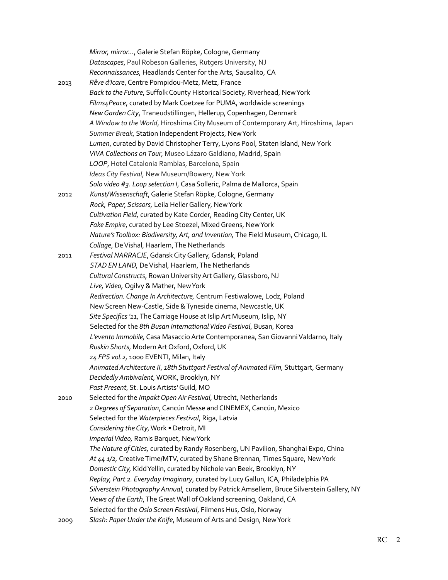|      | Mirror, mirror, Galerie Stefan Röpke, Cologne, Germany                                                                                                                |
|------|-----------------------------------------------------------------------------------------------------------------------------------------------------------------------|
|      | Datascapes, Paul Robeson Galleries, Rutgers University, NJ                                                                                                            |
|      | Reconnaissances, Headlands Center for the Arts, Sausalito, CA                                                                                                         |
| 2013 | Rêve d'Icare, Centre Pompidou-Metz, Metz, France                                                                                                                      |
|      | Back to the Future, Suffolk County Historical Society, Riverhead, New York                                                                                            |
|      | Films4Peace, curated by Mark Coetzee for PUMA, worldwide screenings                                                                                                   |
|      | New Garden City, Traneudstillingen, Hellerup, Copenhagen, Denmark                                                                                                     |
|      | A Window to the World, Hiroshima City Museum of Contemporary Art, Hiroshima, Japan                                                                                    |
|      |                                                                                                                                                                       |
|      | Summer Break, Station Independent Projects, New York                                                                                                                  |
|      | Lumen, curated by David Christopher Terry, Lyons Pool, Staten Island, New York                                                                                        |
|      | VIVA Collections on Tour, Museo Lázaro Galdiano, Madrid, Spain                                                                                                        |
|      | LOOP, Hotel Catalonia Ramblas, Barcelona, Spain                                                                                                                       |
|      | Ideas City Festival, New Museum/Bowery, New York                                                                                                                      |
|      | Solo video #3. Loop selection I, Casa Solleric, Palma de Mallorca, Spain                                                                                              |
| 2012 | Kunst/Wissenschaft, Galerie Stefan Röpke, Cologne, Germany                                                                                                            |
|      | Rock, Paper, Scissors, Leila Heller Gallery, New York                                                                                                                 |
|      | Cultivation Field, curated by Kate Corder, Reading City Center, UK                                                                                                    |
|      | Fake Empire, curated by Lee Stoezel, Mixed Greens, New York                                                                                                           |
|      | Nature's Toolbox: Biodiversity, Art, and Invention, The Field Museum, Chicago, IL                                                                                     |
|      | Collage, De Vishal, Haarlem, The Netherlands                                                                                                                          |
| 2011 | Festival NARRACJE, Gdansk City Gallery, Gdansk, Poland                                                                                                                |
|      | STAD EN LAND, De Vishal, Haarlem, The Netherlands                                                                                                                     |
|      | Cultural Constructs, Rowan University Art Gallery, Glassboro, NJ                                                                                                      |
|      | Live, Video, Ogilvy & Mather, New York                                                                                                                                |
|      | Redirection. Change In Architecture, Centrum Festiwalowe, Lodz, Poland                                                                                                |
|      | New Screen New-Castle, Side & Tyneside cinema, Newcastle, UK                                                                                                          |
|      | Site Specifics '11, The Carriage House at Islip Art Museum, Islip, NY                                                                                                 |
|      | Selected for the 8th Busan International Video Festival, Busan, Korea                                                                                                 |
|      | L'evento Immobile, Casa Masaccio Arte Contemporanea, San Giovanni Valdarno, Italy                                                                                     |
|      | Ruskin Shorts, Modern Art Oxford, Oxford, UK                                                                                                                          |
|      | 24 FPS vol.2, 1000 EVENTI, Milan, Italy                                                                                                                               |
|      | Animated Architecture II, 18th Stuttgart Festival of Animated Film, Stuttgart, Germany                                                                                |
|      | Decidedly Ambivalent, WORK, Brooklyn, NY                                                                                                                              |
|      | Past Present, St. Louis Artists' Guild, MO                                                                                                                            |
| 2010 | Selected for the Impakt Open Air Festival, Utrecht, Netherlands                                                                                                       |
|      | 2 Degrees of Separation, Cancún Messe and CINEMEX, Cancún, Mexico                                                                                                     |
|      | Selected for the Waterpieces Festival, Riga, Latvia                                                                                                                   |
|      | Considering the City, Work . Detroit, MI                                                                                                                              |
|      | Imperial Video, Ramis Barquet, New York                                                                                                                               |
|      |                                                                                                                                                                       |
|      | The Nature of Cities, curated by Randy Rosenberg, UN Pavilion, Shanghai Expo, China<br>At 44 1/2, Creative Time/MTV, curated by Shane Brennan, Times Square, New York |
|      |                                                                                                                                                                       |
|      | Domestic City, Kidd Yellin, curated by Nichole van Beek, Brooklyn, NY                                                                                                 |
|      | Replay, Part 2. Everyday Imaginary, curated by Lucy Gallun, ICA, Philadelphia PA                                                                                      |
|      | Silverstein Photography Annual, curated by Patrick Amsellem, Bruce Silverstein Gallery, NY                                                                            |
|      | Views of the Earth, The Great Wall of Oakland screening, Oakland, CA                                                                                                  |
|      | Selected for the Oslo Screen Festival, Filmens Hus, Oslo, Norway                                                                                                      |
| 2009 | Slash: Paper Under the Knife, Museum of Arts and Design, New York                                                                                                     |
|      |                                                                                                                                                                       |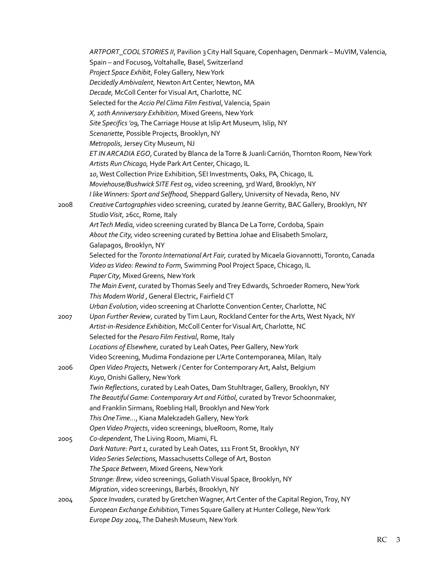*ARTPORT\_COOL STORIES II*, Pavilion 3 City Hall Square, Copenhagen, Denmark – MuVIM, Valencia, Spain – and Focus09, Voltahalle, Basel, Switzerland *Project Space Exhibit*, Foley Gallery, New York *Decidedly Ambivalent*, Newton Art Center, Newton, MA *Decade,* McColl Center for Visual Art, Charlotte, NC Selected for the *Accio Pel Clima Film Festival*, Valencia, Spain *X, 10th Anniversary Exhibition*, Mixed Greens, New York *Site Specifics '09,*The Carriage House at Islip Art Museum, Islip, NY *Scenariette*, Possible Projects, Brooklyn, NY *Metropolis*, Jersey City Museum, NJ *ET IN ARCADIA EGO*, Curated by Blanca de la Torre & Juanli Carrión, Thornton Room, New York *Artists Run Chicago,* Hyde Park Art Center, Chicago, IL *10*, West Collection Prize Exhibition, SEI Investments, Oaks, PA, Chicago, IL *Moviehouse/Bushwick SITE Fest 09*, video screening, 3rd Ward, Brooklyn, NY *I like Winners: Sport and Selfhood,* Sheppard Gallery, University of Nevada, Reno, NV 2008 *Creative Cartographies* video screening, curated by Jeanne Gerrity, BAC Gallery, Brooklyn, NY *Studio Visit*, 26cc, Rome, Italy *Art Tech Media*, video screening curated by Blanca De La Torre, Cordoba, Spain *About the City,* video screening curated by Bettina Johae and Elisabeth Smolarz, Galapagos, Brooklyn, NY Selected for the *Toronto International Art Fair,* curated by Micaela Giovannotti, Toronto, Canada *Video as Video: Rewind to Form*, Swimming Pool Project Space, Chicago, IL *Paper City*, Mixed Greens, New York *The Main Event*, curated by Thomas Seely and Trey Edwards, Schroeder Romero, New York *This Modern World* , General Electric, Fairfield CT *Urban Evolution*, video screening at Charlotte Convention Center, Charlotte, NC 2007 *Upon Further Review*, curated by Tim Laun, Rockland Center for the Arts, West Nyack, NY *Artist-in-Residence Exhibition*, McColl Center for Visual Art, Charlotte, NC Selected for the *Pesaro Film Festival*, Rome, Italy *Locations of Elsewhere*, curated by Leah Oates, Peer Gallery, New York Video Screening, Mudima Fondazione per L'Arte Contemporanea, Milan, Italy 2006 *Open Video Projects,* Netwerk / Center for Contemporary Art, Aalst, Belgium *Kuyo*, Onishi Gallery, New York *Twin Reflections*, curated by Leah Oates, Dam Stuhltrager, Gallery, Brooklyn, NY *The Beautiful Game: Contemporary Art and Fútbol*, curated by Trevor Schoonmaker, and Franklin Sirmans, Roebling Hall, Brooklyn and New York *This One Time…*, Kiana Malekzadeh Gallery, New York *Open Video Projects*, video screenings, blueRoom, Rome, Italy 2005 *Co-dependent*, The Living Room, Miami, FL *Dark Nature: Part 1*, curated by Leah Oates, 111 Front St, Brooklyn, NY *Video Series Selections,* Massachusetts College of Art, Boston *The Space Between*, Mixed Greens, New York *Strange: Brew*, video screenings, Goliath Visual Space, Brooklyn, NY *Migration*, video screenings, Barbés, Brooklyn, NY 2004 *Space Invaders*, curated by Gretchen Wagner, Art Center of the Capital Region, Troy, NY *European Exchange Exhibition*, Times Square Gallery at Hunter College, New York *Europe Day 2004*, The Dahesh Museum, New York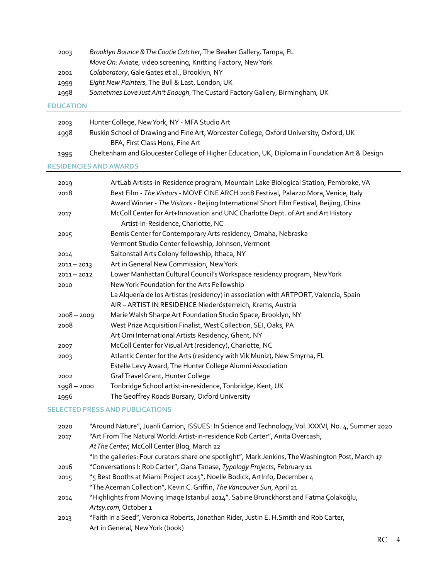| Brooklyn Bounce & The Cootie Catcher, The Beaker Gallery, Tampa, FL           |
|-------------------------------------------------------------------------------|
| Move On: Aviate, video screening, Knitting Factory, New York                  |
| <i>Colaboratory, Gale Gates et al., Brooklyn, NY</i>                          |
| Eight New Painters, The Bull & Last, London, UK                               |
| Sometimes Love Just Ain't Enough, The Custard Factory Gallery, Birmingham, UK |
|                                                                               |

# **EDUCATION**

| 2003 | Hunter College, New York, NY - MFA Studio Art                                                 |
|------|-----------------------------------------------------------------------------------------------|
| 1998 | Ruskin School of Drawing and Fine Art, Worcester College, Oxford University, Oxford, UK       |
|      | BFA, First Class Hons, Fine Art                                                               |
| 1995 | Cheltenham and Gloucester College of Higher Education, UK, Diploma in Foundation Art & Design |
|      |                                                                                               |

#### **RESIDENCIESANDAWARDS**

| 2019          | ArtLab Artists-in-Residence program, Mountain Lake Biological Station, Pembroke, VA     |
|---------------|-----------------------------------------------------------------------------------------|
| 2018          | Best Film - The Visitors - MOVE CINE ARCH 2018 Festival, Palazzo Mora, Venice, Italy    |
|               | Award Winner - The Visitors - Beijing International Short Film Festival, Beijing, China |
| 2017          | McColl Center for Art+Innovation and UNC Charlotte Dept. of Art and Art History         |
|               | Artist-in-Residence, Charlotte, NC                                                      |
| 2015          | Bemis Center for Contemporary Arts residency, Omaha, Nebraska                           |
|               | Vermont Studio Center fellowship, Johnson, Vermont                                      |
| 2014          | Saltonstall Arts Colony fellowship, Ithaca, NY                                          |
| $2011 - 2013$ | Art in General New Commission, New York                                                 |
| $2011 - 2012$ | Lower Manhattan Cultural Council's Workspace residency program, New York                |
| 2010          | New York Foundation for the Arts Fellowship                                             |
|               | La Alquería de los Artistas (residency) in association with ARTPORT, Valencia, Spain    |
|               | AIR - ARTIST IN RESIDENCE Niederösterreich, Krems, Austria                              |
| $2008 - 2009$ | Marie Walsh Sharpe Art Foundation Studio Space, Brooklyn, NY                            |
| 2008          | West Prize Acquisition Finalist, West Collection, SEI, Oaks, PA                         |
|               | Art Omi International Artists Residency, Ghent, NY                                      |
| 2007          | McColl Center for Visual Art (residency), Charlotte, NC                                 |
| 2003          | Atlantic Center for the Arts (residency with Vik Muniz), New Smyrna, FL                 |
|               | Estelle Levy Award, The Hunter College Alumni Association                               |
| 2002          | Graf Travel Grant, Hunter College                                                       |
| 1998 - 2000   | Tonbridge School artist-in-residence, Tonbridge, Kent, UK                               |
| 1996          | The Geoffrey Roads Bursary, Oxford University                                           |

### **SELECTEDPRESSANDPUBLICATIONS**

| 2020<br>2017 | "Around Nature", Juanli Carrion, ISSUES: In Science and Technology, Vol. XXXVI, No. 4, Summer 2020<br>"Art From The Natural World: Artist-in-residence Rob Carter", Anita Overcash,<br>At The Center, McColl Center Blog, March 22<br>"In the galleries: Four curators share one spotlight", Mark Jenkins, The Washington Post, March 17 |
|--------------|------------------------------------------------------------------------------------------------------------------------------------------------------------------------------------------------------------------------------------------------------------------------------------------------------------------------------------------|
| 2016         | "Conversations I: Rob Carter", Oana Tanase, Typology Projects, February 11                                                                                                                                                                                                                                                               |
| 2015         | "5 Best Booths at Miami Project 2015", Noelle Bodick, ArtInfo, December 4<br>"The Aceman Collection", Kevin C. Griffin, The Vancouver Sun, April 21                                                                                                                                                                                      |
| 2014         | "Highlights from Moving Image Istanbul 2014", Sabine Brunckhorst and Fatma Çolakoğlu,<br>Artsy.com, October 1                                                                                                                                                                                                                            |
| 2013         | "Faith in a Seed", Veronica Roberts, Jonathan Rider, Justin E. H.Smith and Rob Carter,<br>Art in General, New York (book)                                                                                                                                                                                                                |